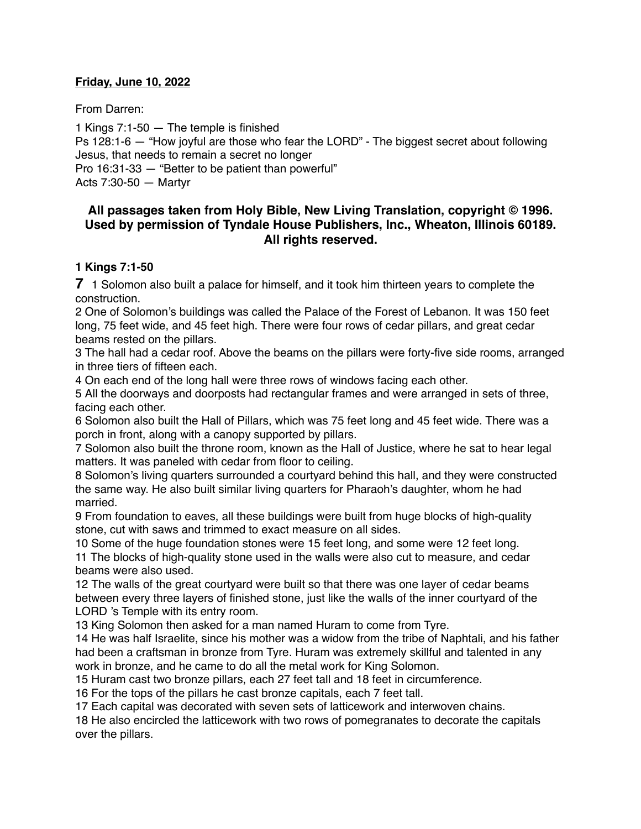#### **Friday, June 10, 2022**

From Darren:

1 Kings 7:1-50 — The temple is finished Ps 128:1-6 — "How joyful are those who fear the LORD" - The biggest secret about following Jesus, that needs to remain a secret no longer Pro 16:31-33 — "Better to be patient than powerful" Acts 7:30-50 — Martyr

# **All passages taken from Holy Bible, [New Living Translation](http://www.newlivingtranslation.com/), copyright © 1996. Used by permission of [Tyndale House Publishers](http://tyndale.com/), Inc., Wheaton, Illinois 60189. All rights reserved.**

## **1 Kings 7:1-50**

**7** 1 Solomon also built a palace for himself, and it took him thirteen years to complete the construction.

2 One of Solomon's buildings was called the Palace of the Forest of Lebanon. It was 150 feet long, 75 feet wide, and 45 feet high. There were four rows of cedar pillars, and great cedar beams rested on the pillars.

3 The hall had a cedar roof. Above the beams on the pillars were forty-five side rooms, arranged in three tiers of fifteen each.

4 On each end of the long hall were three rows of windows facing each other.

5 All the doorways and doorposts had rectangular frames and were arranged in sets of three, facing each other.

6 Solomon also built the Hall of Pillars, which was 75 feet long and 45 feet wide. There was a porch in front, along with a canopy supported by pillars.

7 Solomon also built the throne room, known as the Hall of Justice, where he sat to hear legal matters. It was paneled with cedar from floor to ceiling.

8 Solomon's living quarters surrounded a courtyard behind this hall, and they were constructed the same way. He also built similar living quarters for Pharaoh's daughter, whom he had married.

9 From foundation to eaves, all these buildings were built from huge blocks of high-quality stone, cut with saws and trimmed to exact measure on all sides.

10 Some of the huge foundation stones were 15 feet long, and some were 12 feet long.

11 The blocks of high-quality stone used in the walls were also cut to measure, and cedar beams were also used.

12 The walls of the great courtyard were built so that there was one layer of cedar beams between every three layers of finished stone, just like the walls of the inner courtyard of the LORD 's Temple with its entry room.

13 King Solomon then asked for a man named Huram to come from Tyre.

14 He was half Israelite, since his mother was a widow from the tribe of Naphtali, and his father had been a craftsman in bronze from Tyre. Huram was extremely skillful and talented in any work in bronze, and he came to do all the metal work for King Solomon.

15 Huram cast two bronze pillars, each 27 feet tall and 18 feet in circumference.

16 For the tops of the pillars he cast bronze capitals, each 7 feet tall.

17 Each capital was decorated with seven sets of latticework and interwoven chains.

18 He also encircled the latticework with two rows of pomegranates to decorate the capitals over the pillars.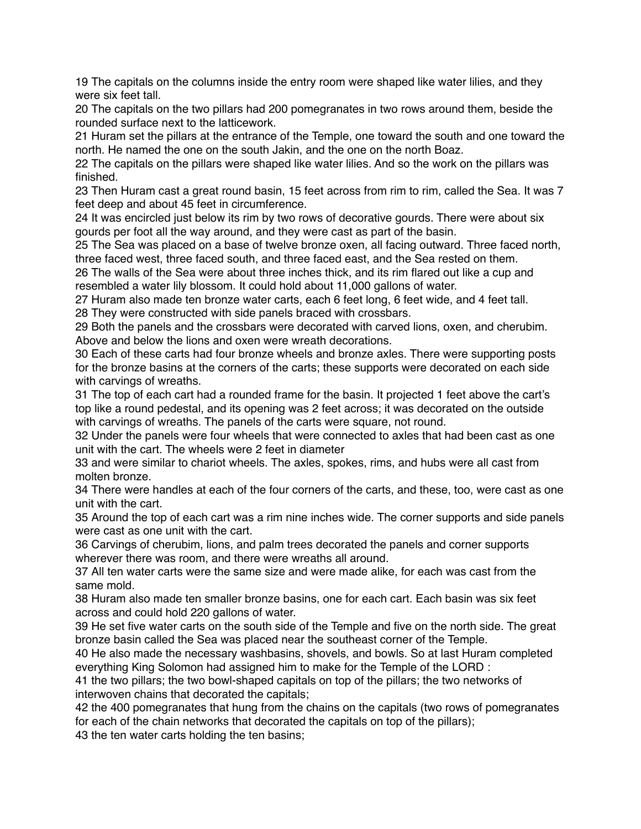19 The capitals on the columns inside the entry room were shaped like water lilies, and they were six feet tall.

20 The capitals on the two pillars had 200 pomegranates in two rows around them, beside the rounded surface next to the latticework.

21 Huram set the pillars at the entrance of the Temple, one toward the south and one toward the north. He named the one on the south Jakin, and the one on the north Boaz.

22 The capitals on the pillars were shaped like water lilies. And so the work on the pillars was finished.

23 Then Huram cast a great round basin, 15 feet across from rim to rim, called the Sea. It was 7 feet deep and about 45 feet in circumference.

24 It was encircled just below its rim by two rows of decorative gourds. There were about six gourds per foot all the way around, and they were cast as part of the basin.

25 The Sea was placed on a base of twelve bronze oxen, all facing outward. Three faced north, three faced west, three faced south, and three faced east, and the Sea rested on them.

26 The walls of the Sea were about three inches thick, and its rim flared out like a cup and resembled a water lily blossom. It could hold about 11,000 gallons of water.

27 Huram also made ten bronze water carts, each 6 feet long, 6 feet wide, and 4 feet tall. 28 They were constructed with side panels braced with crossbars.

29 Both the panels and the crossbars were decorated with carved lions, oxen, and cherubim. Above and below the lions and oxen were wreath decorations.

30 Each of these carts had four bronze wheels and bronze axles. There were supporting posts for the bronze basins at the corners of the carts; these supports were decorated on each side with carvings of wreaths.

31 The top of each cart had a rounded frame for the basin. It projected 1 feet above the cart's top like a round pedestal, and its opening was 2 feet across; it was decorated on the outside with carvings of wreaths. The panels of the carts were square, not round.

32 Under the panels were four wheels that were connected to axles that had been cast as one unit with the cart. The wheels were 2 feet in diameter

33 and were similar to chariot wheels. The axles, spokes, rims, and hubs were all cast from molten bronze.

34 There were handles at each of the four corners of the carts, and these, too, were cast as one unit with the cart.

35 Around the top of each cart was a rim nine inches wide. The corner supports and side panels were cast as one unit with the cart.

36 Carvings of cherubim, lions, and palm trees decorated the panels and corner supports wherever there was room, and there were wreaths all around.

37 All ten water carts were the same size and were made alike, for each was cast from the same mold.

38 Huram also made ten smaller bronze basins, one for each cart. Each basin was six feet across and could hold 220 gallons of water.

39 He set five water carts on the south side of the Temple and five on the north side. The great bronze basin called the Sea was placed near the southeast corner of the Temple.

40 He also made the necessary washbasins, shovels, and bowls. So at last Huram completed everything King Solomon had assigned him to make for the Temple of the LORD :

41 the two pillars; the two bowl-shaped capitals on top of the pillars; the two networks of interwoven chains that decorated the capitals;

42 the 400 pomegranates that hung from the chains on the capitals (two rows of pomegranates for each of the chain networks that decorated the capitals on top of the pillars);

43 the ten water carts holding the ten basins;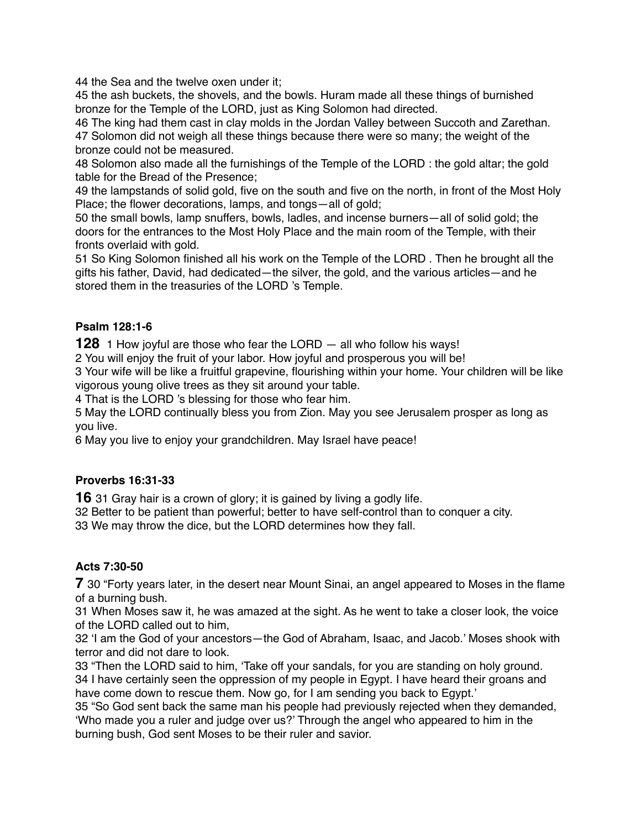44 the Sea and the twelve oxen under it;

45 the ash buckets, the shovels, and the bowls. Huram made all these things of burnished bronze for the Temple of the LORD, just as King Solomon had directed.

46 The king had them cast in clay molds in the Jordan Valley between Succoth and Zarethan. 47 Solomon did not weigh all these things because there were so many; the weight of the bronze could not be measured.

48 Solomon also made all the furnishings of the Temple of the LORD : the gold altar; the gold table for the Bread of the Presence;

49 the lampstands of solid gold, five on the south and five on the north, in front of the Most Holy Place; the flower decorations, lamps, and tongs—all of gold;

50 the small bowls, lamp snuffers, bowls, ladles, and incense burners—all of solid gold; the doors for the entrances to the Most Holy Place and the main room of the Temple, with their fronts overlaid with gold.

51 So King Solomon finished all his work on the Temple of the LORD . Then he brought all the gifts his father, David, had dedicated—the silver, the gold, and the various articles—and he stored them in the treasuries of the LORD 's Temple.

## **Psalm 128:1-6**

**128** 1 How joyful are those who fear the LORD — all who follow his ways!

2 You will enjoy the fruit of your labor. How joyful and prosperous you will be!

3 Your wife will be like a fruitful grapevine, flourishing within your home. Your children will be like vigorous young olive trees as they sit around your table.

4 That is the LORD 's blessing for those who fear him.

5 May the LORD continually bless you from Zion. May you see Jerusalem prosper as long as you live.

6 May you live to enjoy your grandchildren. May Israel have peace!

### **Proverbs 16:31-33**

**16** 31 Gray hair is a crown of glory; it is gained by living a godly life.

32 Better to be patient than powerful; better to have self-control than to conquer a city.

33 We may throw the dice, but the LORD determines how they fall.

#### **Acts 7:30-50**

**7** 30 "Forty years later, in the desert near Mount Sinai, an angel appeared to Moses in the flame of a burning bush.

31 When Moses saw it, he was amazed at the sight. As he went to take a closer look, the voice of the LORD called out to him,

32 'I am the God of your ancestors—the God of Abraham, Isaac, and Jacob.' Moses shook with terror and did not dare to look.

33 "Then the LORD said to him, 'Take off your sandals, for you are standing on holy ground. 34 I have certainly seen the oppression of my people in Egypt. I have heard their groans and have come down to rescue them. Now go, for I am sending you back to Egypt.'

35 "So God sent back the same man his people had previously rejected when they demanded, 'Who made you a ruler and judge over us?' Through the angel who appeared to him in the burning bush, God sent Moses to be their ruler and savior.